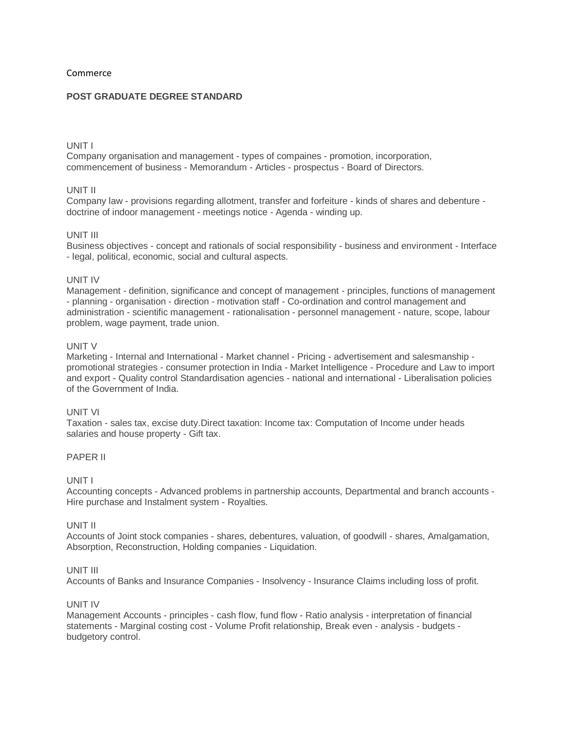## Commerce

# **POST GRADUATE DEGREE STANDARD**

# UNIT I

Company organisation and management - types of compaines - promotion, incorporation, commencement of business - Memorandum - Articles - prospectus - Board of Directors.

## UNIT II

Company law - provisions regarding allotment, transfer and forfeiture - kinds of shares and debenture doctrine of indoor management - meetings notice - Agenda - winding up.

### UNIT III

Business objectives - concept and rationals of social responsibility - business and environment - Interface - legal, political, economic, social and cultural aspects.

# UNIT IV

Management - definition, significance and concept of management - principles, functions of management - planning - organisation - direction - motivation staff - Co-ordination and control management and administration - scientific management - rationalisation - personnel management - nature, scope, labour problem, wage payment, trade union.

## UNIT V

Marketing - Internal and International - Market channel - Pricing - advertisement and salesmanship promotional strategies - consumer protection in India - Market Intelligence - Procedure and Law to import and export - Quality control Standardisation agencies - national and international - Liberalisation policies of the Government of India.

### UNIT VI

Taxation - sales tax, excise duty.Direct taxation: Income tax: Computation of Income under heads salaries and house property - Gift tax.

## PAPER II

### UNIT I

Accounting concepts - Advanced problems in partnership accounts, Departmental and branch accounts - Hire purchase and Instalment system - Royalties.

### UNIT II

Accounts of Joint stock companies - shares, debentures, valuation, of goodwill - shares, Amalgamation, Absorption, Reconstruction, Holding companies - Liquidation.

## UNIT III

Accounts of Banks and Insurance Companies - Insolvency - Insurance Claims including loss of profit.

### UNIT IV

Management Accounts - principles - cash flow, fund flow - Ratio analysis - interpretation of financial statements - Marginal costing cost - Volume Profit relationship, Break even - analysis - budgets budgetory control.